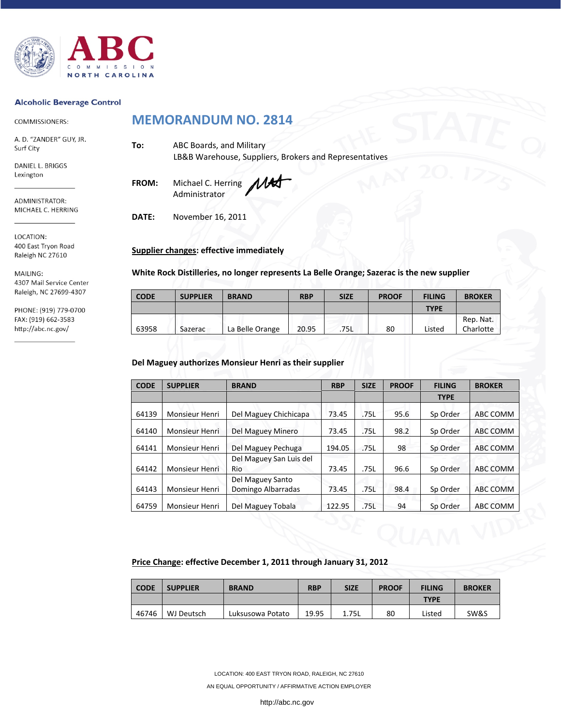

#### **Alcoholic Beverage Control**

COMMISSIONERS:

A. D. "ZANDER" GUY, JR. Surf City

DANIEL L. BRIGGS Lexington

ADMINISTRATOR: MICHAEL C. HERRING

LOCATION: 400 East Tryon Road Raleigh NC 27610

MAILING: 4307 Mail Service Center Raleigh, NC 27699-4307

PHONE: (919) 779-0700 FAX: (919) 662-3583 http://abc.nc.gov/

# **MEMORANDUM NO. 2814**

**To:** ABC Boards, and Military LB&B Warehouse, Suppliers, Brokers and Representatives

**FROM:** Michael C. Herring Administrator

**DATE:** November 16, 2011

## **Supplier changes: effective immediately**

**White Rock Distilleries, no longer represents La Belle Orange; Sazerac is the new supplier** 

| <b>CODE</b> | <b>SUPPLIER</b> | <b>BRAND</b>    | <b>RBP</b> | <b>SIZE</b> | <b>PROOF</b> | <b>FILING</b> | <b>BROKER</b> |
|-------------|-----------------|-----------------|------------|-------------|--------------|---------------|---------------|
|             |                 |                 |            |             |              | <b>TYPE</b>   |               |
|             |                 |                 |            |             |              |               | Rep. Nat.     |
| 63958       | Sazerac         | La Belle Orange | 20.95      | .75L        | 80           | Listed        | Charlotte     |

#### **Del Maguey authorizes Monsieur Henri as their supplier**

| <b>CODE</b> | <b>SUPPLIER</b>       | <b>BRAND</b>                           | <b>RBP</b> | <b>SIZE</b> | <b>PROOF</b> | <b>FILING</b> | <b>BROKER</b> |
|-------------|-----------------------|----------------------------------------|------------|-------------|--------------|---------------|---------------|
|             |                       |                                        |            |             |              | <b>TYPE</b>   |               |
| 64139       | Monsieur Henri        | Del Maguey Chichicapa                  | 73.45      | .75L        | 95.6         | Sp Order      | ABC COMM      |
| 64140       | <b>Monsieur Henri</b> | Del Maguey Minero                      | 73.45      | .75L        | 98.2         | Sp Order      | ABC COMM      |
| 64141       | <b>Monsieur Henri</b> | Del Maguey Pechuga                     | 194.05     | .75L        | 98           | Sp Order      | ABC COMM      |
| 64142       | <b>Monsieur Henri</b> | Del Maguey San Luis del<br>Rio         | 73.45      | .75L        | 96.6         | Sp Order      | ABC COMM      |
| 64143       | Monsieur Henri        | Del Maguey Santo<br>Domingo Albarradas | 73.45      | .75L        | 98.4         | Sp Order      | ABC COMM      |
| 64759       | Monsieur Henri        | Del Maguey Tobala                      | 122.95     | .75L        | 94           | Sp Order      | ABC COMM      |

#### **Price Change: effective December 1, 2011 through January 31, 2012**

| <b>CODE</b> | <b>SUPPLIER</b> | <b>BRAND</b>     | <b>RBP</b> | <b>SIZE</b> | <b>PROOF</b> | <b>FILING</b> | <b>BROKER</b> |
|-------------|-----------------|------------------|------------|-------------|--------------|---------------|---------------|
|             |                 |                  |            |             |              | <b>TYPE</b>   |               |
| 46746       | WJ Deutsch      | Luksusowa Potato | 19.95      | 1.75L       | 80           | Listed        | SW&S          |

LOCATION: 400 EAST TRYON ROAD, RALEIGH, NC 27610

AN EQUAL OPPORTUNITY / AFFIRMATIVE ACTION EMPLOYER

http://abc.nc.gov